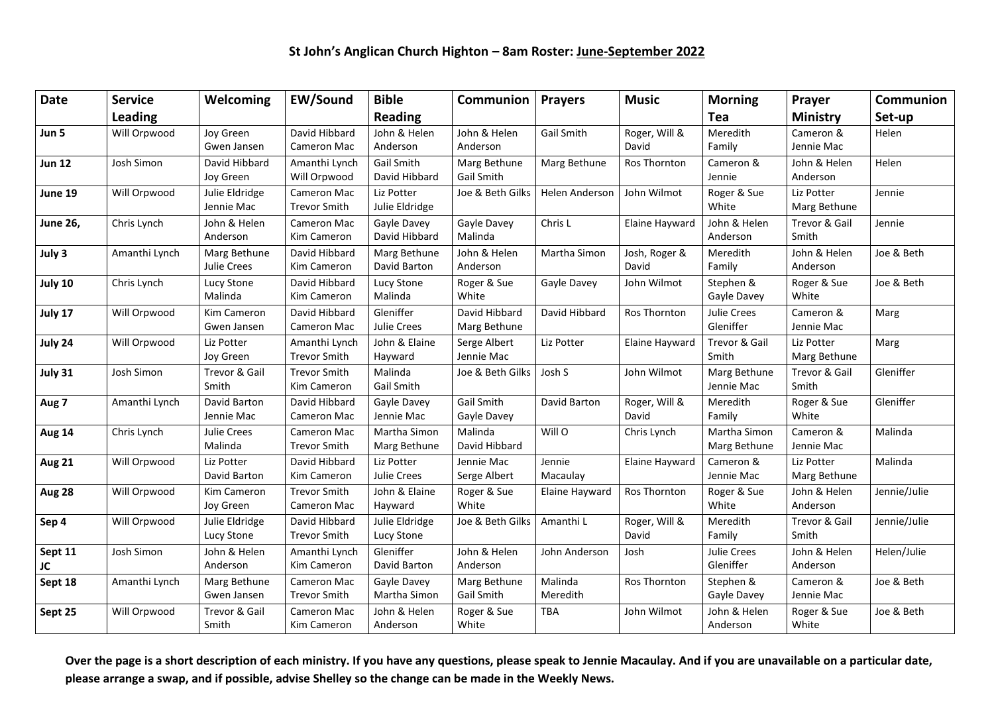| <b>Date</b>     | <b>Service</b> | Welcoming                    | <b>EW/Sound</b>                           | <b>Bible</b>                 | Communion                         | <b>Prayers</b>        | <b>Music</b>           | <b>Morning</b>                  | Prayer                     | Communion    |
|-----------------|----------------|------------------------------|-------------------------------------------|------------------------------|-----------------------------------|-----------------------|------------------------|---------------------------------|----------------------------|--------------|
|                 | <b>Leading</b> |                              |                                           | Reading                      |                                   |                       |                        | Tea                             | <b>Ministry</b>            | Set-up       |
| Jun 5           | Will Orpwood   | Joy Green<br>Gwen Jansen     | David Hibbard<br>Cameron Mac              | John & Helen<br>Anderson     | John & Helen<br>Anderson          | <b>Gail Smith</b>     | Roger, Will &<br>David | Meredith<br>Family              | Cameron &<br>Jennie Mac    | Helen        |
| <b>Jun 12</b>   | Josh Simon     | David Hibbard<br>Joy Green   | Amanthi Lynch<br>Will Orpwood             | Gail Smith<br>David Hibbard  | Marg Bethune<br>Gail Smith        | Marg Bethune          | Ros Thornton           | Cameron &<br>Jennie             | John & Helen<br>Anderson   | Helen        |
| June 19         | Will Orpwood   | Julie Eldridge<br>Jennie Mac | Cameron Mac<br><b>Trevor Smith</b>        | Liz Potter<br>Julie Eldridge | Joe & Beth Gilks                  | <b>Helen Anderson</b> | John Wilmot            | Roger & Sue<br>White            | Liz Potter<br>Marg Bethune | Jennie       |
| <b>June 26,</b> | Chris Lynch    | John & Helen<br>Anderson     | Cameron Mac<br>Kim Cameron                | Gayle Davey<br>David Hibbard | Gayle Davey<br>Malinda            | Chris L               | Elaine Hayward         | John & Helen<br>Anderson        | Trevor & Gail<br>Smith     | Jennie       |
| July 3          | Amanthi Lynch  | Marg Bethune<br>Julie Crees  | David Hibbard<br>Kim Cameron              | Marg Bethune<br>David Barton | John & Helen<br>Anderson          | Martha Simon          | Josh, Roger &<br>David | Meredith<br>Family              | John & Helen<br>Anderson   | Joe & Beth   |
| July 10         | Chris Lynch    | Lucy Stone<br>Malinda        | David Hibbard<br>Kim Cameron              | Lucy Stone<br>Malinda        | Roger & Sue<br>White              | Gayle Davey           | John Wilmot            | Stephen &<br>Gayle Davey        | Roger & Sue<br>White       | Joe & Beth   |
| July 17         | Will Orpwood   | Kim Cameron<br>Gwen Jansen   | David Hibbard<br>Cameron Mac              | Gleniffer<br>Julie Crees     | David Hibbard<br>Marg Bethune     | David Hibbard         | Ros Thornton           | <b>Julie Crees</b><br>Gleniffer | Cameron &<br>Jennie Mac    | Marg         |
| July 24         | Will Orpwood   | Liz Potter<br>Joy Green      | Amanthi Lynch<br><b>Trevor Smith</b>      | John & Elaine<br>Hayward     | Serge Albert<br>Jennie Mac        | Liz Potter            | Elaine Hayward         | Trevor & Gail<br>Smith          | Liz Potter<br>Marg Bethune | Marg         |
| July 31         | Josh Simon     | Trevor & Gail<br>Smith       | <b>Trevor Smith</b><br>Kim Cameron        | Malinda<br>Gail Smith        | Joe & Beth Gilks                  | Josh S                | John Wilmot            | Marg Bethune<br>Jennie Mac      | Trevor & Gail<br>Smith     | Gleniffer    |
| Aug 7           | Amanthi Lynch  | David Barton<br>Jennie Mac   | David Hibbard<br>Cameron Mac              | Gayle Davey<br>Jennie Mac    | <b>Gail Smith</b><br>Gayle Davey  | David Barton          | Roger, Will &<br>David | Meredith<br>Family              | Roger & Sue<br>White       | Gleniffer    |
| Aug 14          | Chris Lynch    | Julie Crees<br>Malinda       | Cameron Mac<br><b>Trevor Smith</b>        | Martha Simon<br>Marg Bethune | Malinda<br>David Hibbard          | Will O                | Chris Lynch            | Martha Simon<br>Marg Bethune    | Cameron &<br>Jennie Mac    | Malinda      |
| <b>Aug 21</b>   | Will Orpwood   | Liz Potter<br>David Barton   | David Hibbard<br>Kim Cameron              | Liz Potter<br>Julie Crees    | Jennie Mac<br>Serge Albert        | Jennie<br>Macaulay    | Elaine Hayward         | Cameron &<br>Jennie Mac         | Liz Potter<br>Marg Bethune | Malinda      |
| Aug 28          | Will Orpwood   | Kim Cameron<br>Joy Green     | <b>Trevor Smith</b><br>Cameron Mac        | John & Elaine<br>Hayward     | Roger & Sue<br>White              | Elaine Hayward        | Ros Thornton           | Roger & Sue<br>White            | John & Helen<br>Anderson   | Jennie/Julie |
| Sep 4           | Will Orpwood   | Julie Eldridge<br>Lucy Stone | David Hibbard<br><b>Trevor Smith</b>      | Julie Eldridge<br>Lucy Stone | Joe & Beth Gilks                  | Amanthi L             | Roger, Will &<br>David | Meredith<br>Family              | Trevor & Gail<br>Smith     | Jennie/Julie |
| Sept 11<br>JC   | Josh Simon     | John & Helen<br>Anderson     | Amanthi Lynch<br>Kim Cameron              | Gleniffer<br>David Barton    | John & Helen<br>Anderson          | John Anderson         | Josh                   | <b>Julie Crees</b><br>Gleniffer | John & Helen<br>Anderson   | Helen/Julie  |
| Sept 18         | Amanthi Lynch  | Marg Bethune<br>Gwen Jansen  | <b>Cameron Mac</b><br><b>Trevor Smith</b> | Gayle Davey<br>Martha Simon  | Marg Bethune<br><b>Gail Smith</b> | Malinda<br>Meredith   | Ros Thornton           | Stephen &<br>Gayle Davey        | Cameron &<br>Jennie Mac    | Joe & Beth   |
| Sept 25         | Will Orpwood   | Trevor & Gail<br>Smith       | <b>Cameron Mac</b><br>Kim Cameron         | John & Helen<br>Anderson     | Roger & Sue<br>White              | <b>TBA</b>            | John Wilmot            | John & Helen<br>Anderson        | Roger & Sue<br>White       | Joe & Beth   |

**Over the page is a short description of each ministry. If you have any questions, please speak to Jennie Macaulay. And if you are unavailable on a particular date, please arrange a swap, and if possible, advise Shelley so the change can be made in the Weekly News.**